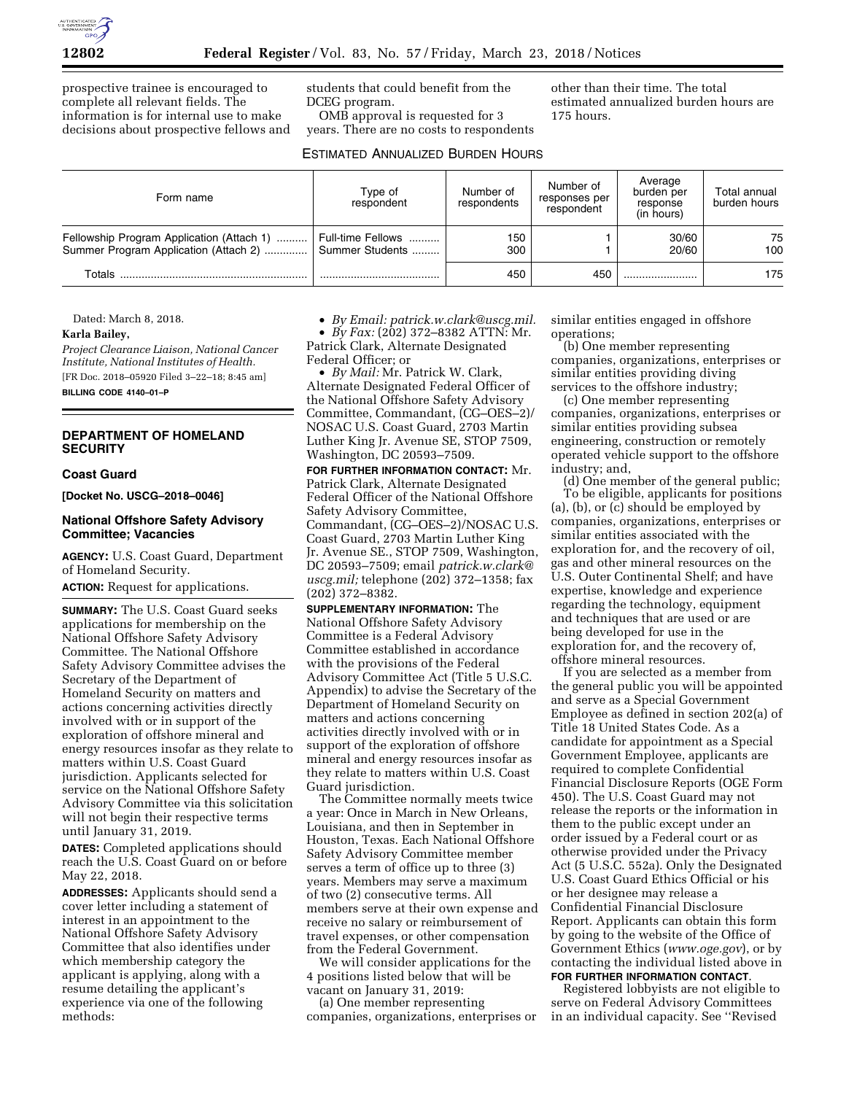

prospective trainee is encouraged to complete all relevant fields. The information is for internal use to make decisions about prospective fellows and students that could benefit from the DCEG program.

OMB approval is requested for 3 years. There are no costs to respondents other than their time. The total estimated annualized burden hours are 175 hours.

## ESTIMATED ANNUALIZED BURDEN HOURS

| Form name                                                                                           | Type of<br>respondent | Number of<br>respondents | Number of<br>responses per<br>respondent | Average<br>burden per<br>response<br>(in hours) | Total annual<br>burden hours |
|-----------------------------------------------------------------------------------------------------|-----------------------|--------------------------|------------------------------------------|-------------------------------------------------|------------------------------|
| Fellowship Program Application (Attach 1)<br>Summer Program Application (Attach 2)  Summer Students | Full-time Fellows     | 150<br>300               |                                          | 30/60<br>20/60                                  | 75<br>100                    |
| Totals                                                                                              |                       | 450                      | 450                                      |                                                 | 175                          |

Dated: March 8, 2018.

#### **Karla Bailey,**

*Project Clearance Liaison, National Cancer Institute, National Institutes of Health.*  [FR Doc. 2018–05920 Filed 3–22–18; 8:45 am] **BILLING CODE 4140–01–P** 

## **DEPARTMENT OF HOMELAND SECURITY**

#### **Coast Guard**

**[Docket No. USCG–2018–0046]** 

#### **National Offshore Safety Advisory Committee; Vacancies**

**AGENCY:** U.S. Coast Guard, Department of Homeland Security.

**ACTION:** Request for applications.

**SUMMARY:** The U.S. Coast Guard seeks applications for membership on the National Offshore Safety Advisory Committee. The National Offshore Safety Advisory Committee advises the Secretary of the Department of Homeland Security on matters and actions concerning activities directly involved with or in support of the exploration of offshore mineral and energy resources insofar as they relate to matters within U.S. Coast Guard jurisdiction. Applicants selected for service on the National Offshore Safety Advisory Committee via this solicitation will not begin their respective terms until January 31, 2019.

**DATES:** Completed applications should reach the U.S. Coast Guard on or before May 22, 2018.

**ADDRESSES:** Applicants should send a cover letter including a statement of interest in an appointment to the National Offshore Safety Advisory Committee that also identifies under which membership category the applicant is applying, along with a resume detailing the applicant's experience via one of the following methods:

• *By Email: [patrick.w.clark@uscg.mil.](mailto:patrick.w.clark@uscg.mil)* 

• *By Fax:* (202) 372–8382 ATTN: Mr. Patrick Clark, Alternate Designated Federal Officer; or

• *By Mail:* Mr. Patrick W. Clark, Alternate Designated Federal Officer of the National Offshore Safety Advisory Committee, Commandant, (CG–OES–2)/ NOSAC U.S. Coast Guard, 2703 Martin Luther King Jr. Avenue SE, STOP 7509, Washington, DC 20593–7509.

**FOR FURTHER INFORMATION CONTACT:** Mr. Patrick Clark, Alternate Designated Federal Officer of the National Offshore Safety Advisory Committee, Commandant, (CG–OES–2)/NOSAC U.S. Coast Guard, 2703 Martin Luther King Jr. Avenue SE., STOP 7509, Washington, DC 20593–7509; email *[patrick.w.clark@](mailto:patrick.w.clark@uscg.mil) [uscg.mil;](mailto:patrick.w.clark@uscg.mil)* telephone (202) 372–1358; fax (202) 372–8382.

**SUPPLEMENTARY INFORMATION:** The National Offshore Safety Advisory Committee is a Federal Advisory Committee established in accordance with the provisions of the Federal Advisory Committee Act (Title 5 U.S.C. Appendix) to advise the Secretary of the Department of Homeland Security on matters and actions concerning activities directly involved with or in support of the exploration of offshore mineral and energy resources insofar as they relate to matters within U.S. Coast Guard jurisdiction.

The Committee normally meets twice a year: Once in March in New Orleans, Louisiana, and then in September in Houston, Texas. Each National Offshore Safety Advisory Committee member serves a term of office up to three (3) years. Members may serve a maximum of two (2) consecutive terms. All members serve at their own expense and receive no salary or reimbursement of travel expenses, or other compensation from the Federal Government.

We will consider applications for the 4 positions listed below that will be vacant on January 31, 2019:

(a) One member representing companies, organizations, enterprises or similar entities engaged in offshore operations;

(b) One member representing companies, organizations, enterprises or similar entities providing diving services to the offshore industry;

(c) One member representing companies, organizations, enterprises or similar entities providing subsea engineering, construction or remotely operated vehicle support to the offshore industry; and,

(d) One member of the general public; To be eligible, applicants for positions (a), (b), or (c) should be employed by companies, organizations, enterprises or similar entities associated with the exploration for, and the recovery of oil, gas and other mineral resources on the U.S. Outer Continental Shelf; and have expertise, knowledge and experience regarding the technology, equipment and techniques that are used or are being developed for use in the exploration for, and the recovery of, offshore mineral resources.

If you are selected as a member from the general public you will be appointed and serve as a Special Government Employee as defined in section 202(a) of Title 18 United States Code. As a candidate for appointment as a Special Government Employee, applicants are required to complete Confidential Financial Disclosure Reports (OGE Form 450). The U.S. Coast Guard may not release the reports or the information in them to the public except under an order issued by a Federal court or as otherwise provided under the Privacy Act (5 U.S.C. 552a). Only the Designated U.S. Coast Guard Ethics Official or his or her designee may release a Confidential Financial Disclosure Report. Applicants can obtain this form by going to the website of the Office of Government Ethics (*[www.oge.gov](http://www.oge.gov)*), or by contacting the individual listed above in **FOR FURTHER INFORMATION CONTACT**.

Registered lobbyists are not eligible to serve on Federal Advisory Committees in an individual capacity. See ''Revised